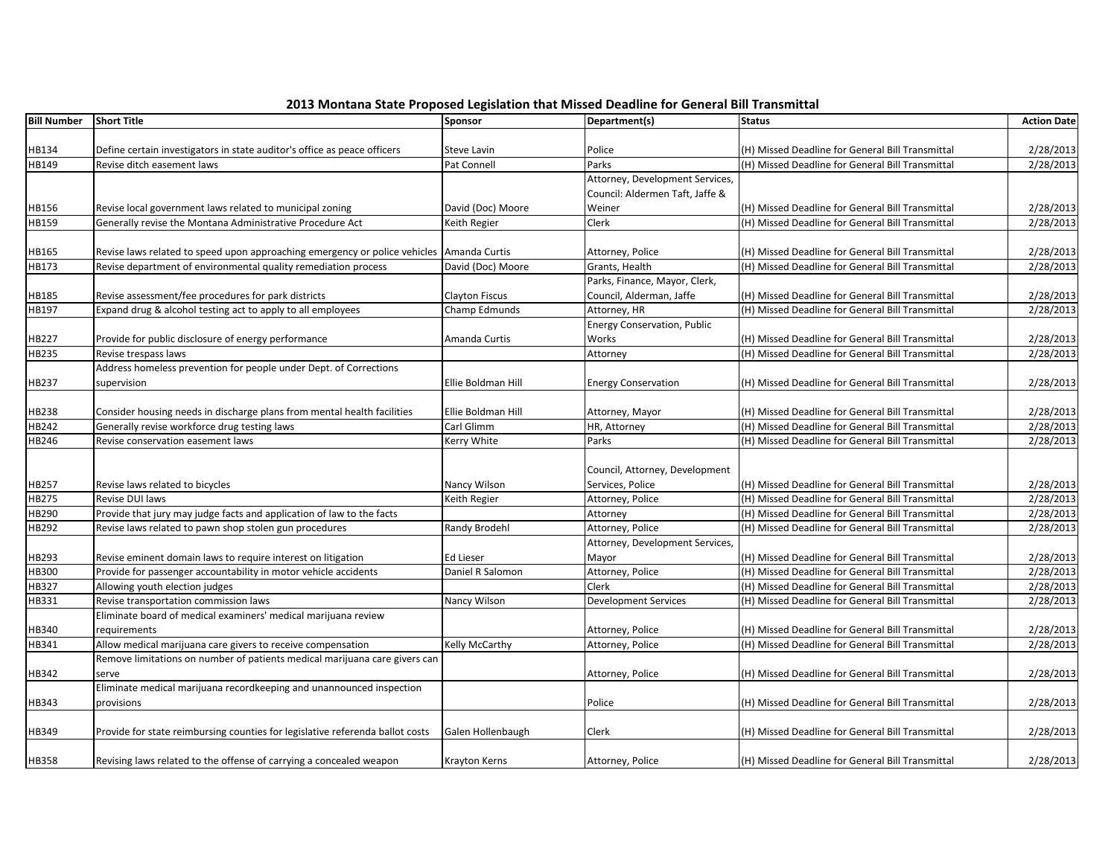| 2013 Montana State Proposed Legislation that Missed Deadline for General Bill Transmittal |
|-------------------------------------------------------------------------------------------|
|-------------------------------------------------------------------------------------------|

|                    |                                                                                            |                       | 2013 Montana State Proposed Legislation that Missed Deadline for General Bill Transmittal |                                                  |                    |
|--------------------|--------------------------------------------------------------------------------------------|-----------------------|-------------------------------------------------------------------------------------------|--------------------------------------------------|--------------------|
| <b>Bill Number</b> | <b>Short Title</b>                                                                         | <b>Sponsor</b>        | Department(s)                                                                             | <b>Status</b>                                    | <b>Action Date</b> |
|                    |                                                                                            |                       |                                                                                           |                                                  |                    |
| HB134              | Define certain investigators in state auditor's office as peace officers                   | Steve Lavin           | Police                                                                                    | (H) Missed Deadline for General Bill Transmittal | 2/28/2013          |
| HB149              | Revise ditch easement laws                                                                 | Pat Connell           | Parks<br>Attorney, Development Services,                                                  | (H) Missed Deadline for General Bill Transmittal | 2/28/2013          |
|                    |                                                                                            |                       |                                                                                           |                                                  |                    |
|                    |                                                                                            |                       | Council: Aldermen Taft, Jaffe &<br>Weiner                                                 |                                                  |                    |
| HB156              | Revise local government laws related to municipal zoning                                   | David (Doc) Moore     |                                                                                           | (H) Missed Deadline for General Bill Transmittal | 2/28/2013          |
| HB159              | Generally revise the Montana Administrative Procedure Act                                  | Keith Regier          | Clerk                                                                                     | (H) Missed Deadline for General Bill Transmittal | 2/28/2013          |
| HB165              | Revise laws related to speed upon approaching emergency or police vehicles   Amanda Curtis |                       | Attorney, Police                                                                          | (H) Missed Deadline for General Bill Transmittal | 2/28/2013          |
| HB173              | Revise department of environmental quality remediation process                             | David (Doc) Moore     | Grants, Health                                                                            | (H) Missed Deadline for General Bill Transmittal | 2/28/2013          |
|                    |                                                                                            |                       | Parks, Finance, Mayor, Clerk,                                                             |                                                  |                    |
| HB185              | Revise assessment/fee procedures for park districts                                        | <b>Clayton Fiscus</b> | Council, Alderman, Jaffe                                                                  | (H) Missed Deadline for General Bill Transmittal | 2/28/2013          |
| HB197              | Expand drug & alcohol testing act to apply to all employees                                | Champ Edmunds         | Attorney, HR                                                                              | (H) Missed Deadline for General Bill Transmittal | 2/28/2013          |
|                    |                                                                                            |                       | <b>Energy Conservation, Public</b>                                                        |                                                  |                    |
| HB227              | Provide for public disclosure of energy performance                                        | Amanda Curtis         | Works                                                                                     | (H) Missed Deadline for General Bill Transmittal | 2/28/2013          |
| HB235              | Revise trespass laws                                                                       |                       | Attorney                                                                                  | (H) Missed Deadline for General Bill Transmittal | 2/28/2013          |
|                    | Address homeless prevention for people under Dept. of Corrections                          |                       |                                                                                           |                                                  |                    |
| HB237              | supervision                                                                                | Ellie Boldman Hill    | <b>Energy Conservation</b>                                                                | (H) Missed Deadline for General Bill Transmittal | 2/28/2013          |
|                    |                                                                                            |                       |                                                                                           |                                                  |                    |
| HB238              | Consider housing needs in discharge plans from mental health facilities                    | Ellie Boldman Hill    | Attorney, Mayor                                                                           | (H) Missed Deadline for General Bill Transmittal | 2/28/2013          |
| HB242              | Generally revise workforce drug testing laws                                               | Carl Glimm            | HR, Attorney                                                                              | (H) Missed Deadline for General Bill Transmittal | 2/28/2013          |
| HB246              | Revise conservation easement laws                                                          | Kerry White           | Parks                                                                                     | (H) Missed Deadline for General Bill Transmittal | 2/28/2013          |
|                    |                                                                                            |                       | Council, Attorney, Development                                                            |                                                  |                    |
| HB257              | Revise laws related to bicycles                                                            | Nancy Wilson          | Services, Police                                                                          | (H) Missed Deadline for General Bill Transmittal | 2/28/2013          |
| HB275              | Revise DUI laws                                                                            | Keith Regier          | Attorney, Police                                                                          | (H) Missed Deadline for General Bill Transmittal | 2/28/2013          |
| HB290              | Provide that jury may judge facts and application of law to the facts                      |                       | Attorney                                                                                  | (H) Missed Deadline for General Bill Transmittal | 2/28/2013          |
| HB292              | Revise laws related to pawn shop stolen gun procedures                                     | Randy Brodehl         | Attorney, Police                                                                          | (H) Missed Deadline for General Bill Transmittal | 2/28/2013          |
|                    |                                                                                            |                       | Attorney, Development Services,                                                           |                                                  |                    |
| HB293              | Revise eminent domain laws to require interest on litigation                               | Ed Lieser             | Mayor                                                                                     | (H) Missed Deadline for General Bill Transmittal | 2/28/2013          |
| HB300              | Provide for passenger accountability in motor vehicle accidents                            | Daniel R Salomon      | Attorney, Police                                                                          | (H) Missed Deadline for General Bill Transmittal | 2/28/2013          |
| HB327              | Allowing youth election judges                                                             |                       | Clerk                                                                                     | (H) Missed Deadline for General Bill Transmittal | 2/28/2013          |
| HB331              | Revise transportation commission laws                                                      | Nancy Wilson          | <b>Development Services</b>                                                               | (H) Missed Deadline for General Bill Transmittal | 2/28/2013          |
|                    | Eliminate board of medical examiners' medical marijuana review                             |                       |                                                                                           |                                                  |                    |
| HB340              | requirements                                                                               |                       | Attorney, Police                                                                          | (H) Missed Deadline for General Bill Transmittal | 2/28/2013          |
| HB341              | Allow medical marijuana care givers to receive compensation                                | Kelly McCarthy        | Attorney, Police                                                                          | (H) Missed Deadline for General Bill Transmittal | 2/28/2013          |
|                    | Remove limitations on number of patients medical marijuana care givers can                 |                       |                                                                                           |                                                  |                    |
| HB342              | serve                                                                                      |                       | Attorney, Police                                                                          | (H) Missed Deadline for General Bill Transmittal | 2/28/2013          |
|                    | Eliminate medical marijuana recordkeeping and unannounced inspection                       |                       |                                                                                           |                                                  |                    |
| HB343              | provisions                                                                                 |                       | Police                                                                                    | (H) Missed Deadline for General Bill Transmittal | 2/28/2013          |
|                    |                                                                                            |                       |                                                                                           |                                                  |                    |
| HB349              | Provide for state reimbursing counties for legislative referenda ballot costs              | Galen Hollenbaugh     | Clerk                                                                                     | (H) Missed Deadline for General Bill Transmittal | 2/28/2013          |
|                    |                                                                                            |                       |                                                                                           |                                                  |                    |
| HB358              | Revising laws related to the offense of carrying a concealed weapon                        | Krayton Kerns         | Attorney, Police                                                                          | (H) Missed Deadline for General Bill Transmittal | 2/28/2013          |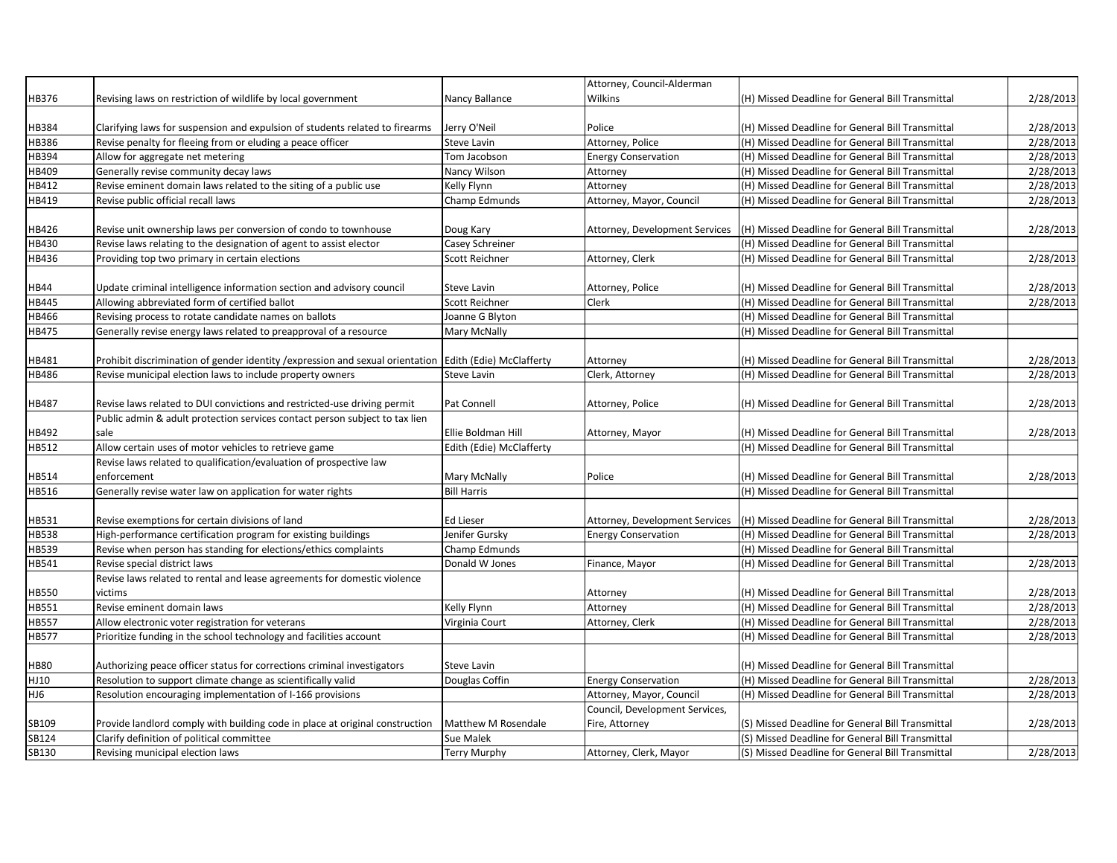| HB376<br>Wilkins<br>Revising laws on restriction of wildlife by local government<br>Nancy Ballance<br>(H) Missed Deadline for General Bill Transmittal<br>HB384<br>Clarifying laws for suspension and expulsion of students related to firearms<br>Jerry O'Neil<br>Police<br>(H) Missed Deadline for General Bill Transmittal<br>Attorney, Police<br>Revise penalty for fleeing from or eluding a peace officer<br>HB386<br>(H) Missed Deadline for General Bill Transmittal<br>Steve Lavin<br>HB394<br>Allow for aggregate net metering<br>Tom Jacobson<br><b>Energy Conservation</b><br>(H) Missed Deadline for General Bill Transmittal<br>HB409<br>Generally revise community decay laws<br>(H) Missed Deadline for General Bill Transmittal<br>Nancy Wilson<br>Attorney<br>HB412<br>Revise eminent domain laws related to the siting of a public use<br>Kelly Flynn<br>(H) Missed Deadline for General Bill Transmittal<br>Attorney<br>HB419<br>Attorney, Mayor, Council<br>Revise public official recall laws<br>Champ Edmunds<br>(H) Missed Deadline for General Bill Transmittal<br>HB426<br>Revise unit ownership laws per conversion of condo to townhouse<br>Doug Kary<br>Attorney, Development Services<br>(H) Missed Deadline for General Bill Transmittal<br>HB430<br>Casey Schreiner<br>Revise laws relating to the designation of agent to assist elector<br>(H) Missed Deadline for General Bill Transmittal<br>2/28/2013<br>HB436<br>Providing top two primary in certain elections<br>Scott Reichner<br>Attorney, Clerk<br>(H) Missed Deadline for General Bill Transmittal<br><b>HB44</b><br>Update criminal intelligence information section and advisory council<br>Steve Lavin<br>Attorney, Police<br>(H) Missed Deadline for General Bill Transmittal<br><b>HB445</b><br>Allowing abbreviated form of certified ballot<br>Scott Reichner<br>(H) Missed Deadline for General Bill Transmittal<br>Clerk<br>Revising process to rotate candidate names on ballots<br>Joanne G Blyton<br>(H) Missed Deadline for General Bill Transmittal<br>HB466<br>HB475<br>Generally revise energy laws related to preapproval of a resource<br>Mary McNally<br>(H) Missed Deadline for General Bill Transmittal<br>Prohibit discrimination of gender identity / expression and sexual orientation<br>2/28/2013<br>HB481<br>Edith (Edie) McClafferty<br>(H) Missed Deadline for General Bill Transmittal<br>Attorney<br>HB486<br>Revise municipal election laws to include property owners<br>2/28/2013<br>Steve Lavin<br>Clerk, Attorney<br>(H) Missed Deadline for General Bill Transmittal<br>2/28/2013<br>HB487<br>Revise laws related to DUI convictions and restricted-use driving permit<br>Pat Connell<br>Attorney, Police<br>(H) Missed Deadline for General Bill Transmittal<br>Public admin & adult protection services contact person subject to tax lien<br>HB492<br>Ellie Boldman Hill<br>(H) Missed Deadline for General Bill Transmittal<br>2/28/2013<br>sale<br>Attorney, Mayor<br>Allow certain uses of motor vehicles to retrieve game<br>HB512<br>Edith (Edie) McClafferty<br>(H) Missed Deadline for General Bill Transmittal<br>Revise laws related to qualification/evaluation of prospective law<br>HB514<br>2/28/2013<br>enforcement<br>Mary McNally<br>Police<br>(H) Missed Deadline for General Bill Transmittal<br>Generally revise water law on application for water rights<br>HB516<br><b>Bill Harris</b><br>(H) Missed Deadline for General Bill Transmittal<br>HB531<br>Ed Lieser<br>2/28/2013<br>Revise exemptions for certain divisions of land<br>Attorney, Development Services<br>(H) Missed Deadline for General Bill Transmittal<br>High-performance certification program for existing buildings<br>Jenifer Gursky<br>(H) Missed Deadline for General Bill Transmittal<br>2/28/2013<br>HB538<br><b>Energy Conservation</b><br>Revise when person has standing for elections/ethics complaints<br>HB539<br>Champ Edmunds<br>(H) Missed Deadline for General Bill Transmittal<br>2/28/2013<br>HB541<br>Revise special district laws<br>Donald W Jones<br>Finance, Mayor<br>(H) Missed Deadline for General Bill Transmittal<br>Revise laws related to rental and lease agreements for domestic violence<br>HB550<br>victims<br>2/28/2013<br>Attorney<br>(H) Missed Deadline for General Bill Transmittal<br>HB551<br>2/28/2013<br>Revise eminent domain laws<br>Kelly Flynn<br>(H) Missed Deadline for General Bill Transmittal<br>Attorney<br>2/28/2013<br><b>HB557</b><br>Allow electronic voter registration for veterans<br>Virginia Court<br>Attorney, Clerk<br>(H) Missed Deadline for General Bill Transmittal<br><b>HB577</b><br>Prioritize funding in the school technology and facilities account<br>(H) Missed Deadline for General Bill Transmittal<br>2/28/2013<br><b>HB80</b><br>Authorizing peace officer status for corrections criminal investigators<br>Steve Lavin<br>(H) Missed Deadline for General Bill Transmittal<br>HJ10<br>Resolution to support climate change as scientifically valid<br><b>Energy Conservation</b><br>(H) Missed Deadline for General Bill Transmittal<br>Douglas Coffin<br>HJ6<br>Resolution encouraging implementation of I-166 provisions<br>Attorney, Mayor, Council<br>(H) Missed Deadline for General Bill Transmittal<br>Council, Development Services,<br>SB109<br>Matthew M Rosendale<br>Fire, Attorney<br>Provide landlord comply with building code in place at original construction<br>(S) Missed Deadline for General Bill Transmittal<br>SB124<br>Clarify definition of political committee<br>(S) Missed Deadline for General Bill Transmittal<br>Sue Malek |       |                                  |              | Attorney, Council-Alderman |                                                  |           |
|-------------------------------------------------------------------------------------------------------------------------------------------------------------------------------------------------------------------------------------------------------------------------------------------------------------------------------------------------------------------------------------------------------------------------------------------------------------------------------------------------------------------------------------------------------------------------------------------------------------------------------------------------------------------------------------------------------------------------------------------------------------------------------------------------------------------------------------------------------------------------------------------------------------------------------------------------------------------------------------------------------------------------------------------------------------------------------------------------------------------------------------------------------------------------------------------------------------------------------------------------------------------------------------------------------------------------------------------------------------------------------------------------------------------------------------------------------------------------------------------------------------------------------------------------------------------------------------------------------------------------------------------------------------------------------------------------------------------------------------------------------------------------------------------------------------------------------------------------------------------------------------------------------------------------------------------------------------------------------------------------------------------------------------------------------------------------------------------------------------------------------------------------------------------------------------------------------------------------------------------------------------------------------------------------------------------------------------------------------------------------------------------------------------------------------------------------------------------------------------------------------------------------------------------------------------------------------------------------------------------------------------------------------------------------------------------------------------------------------------------------------------------------------------------------------------------------------------------------------------------------------------------------------------------------------------------------------------------------------------------------------------------------------------------------------------------------------------------------------------------------------------------------------------------------------------------------------------------------------------------------------------------------------------------------------------------------------------------------------------------------------------------------------------------------------------------------------------------------------------------------------------------------------------------------------------------------------------------------------------------------------------------------------------------------------------------------------------------------------------------------------------------------------------------------------------------------------------------------------------------------------------------------------------------------------------------------------------------------------------------------------------------------------------------------------------------------------------------------------------------------------------------------------------------------------------------------------------------------------------------------------------------------------------------------------------------------------------------------------------------------------------------------------------------------------------------------------------------------------------------------------------------------------------------------------------------------------------------------------------------------------------------------------------------------------------------------------------------------------------------------------------------------------------------------------------------------------------------------------------------------------------------------------------------------------------------------------------------------------------------------------------------------------------------------------------------------------------------------------------------------------------------------------------------------------------------------------------------------------------------------------------------------------------------------------------------------------------------------------------------------------------------------------------------------------------------------------------------------------------------------------------------------------------------------------------------------------------------------------------------------------------------------------------------------|-------|----------------------------------|--------------|----------------------------|--------------------------------------------------|-----------|
|                                                                                                                                                                                                                                                                                                                                                                                                                                                                                                                                                                                                                                                                                                                                                                                                                                                                                                                                                                                                                                                                                                                                                                                                                                                                                                                                                                                                                                                                                                                                                                                                                                                                                                                                                                                                                                                                                                                                                                                                                                                                                                                                                                                                                                                                                                                                                                                                                                                                                                                                                                                                                                                                                                                                                                                                                                                                                                                                                                                                                                                                                                                                                                                                                                                                                                                                                                                                                                                                                                                                                                                                                                                                                                                                                                                                                                                                                                                                                                                                                                                                                                                                                                                                                                                                                                                                                                                                                                                                                                                                                                                                                                                                                                                                                                                                                                                                                                                                                                                                                                                                                                                                                                                                                                                                                                                                                                                                                                                                                                                                                                                                                                                                         |       |                                  |              |                            |                                                  | 2/28/2013 |
|                                                                                                                                                                                                                                                                                                                                                                                                                                                                                                                                                                                                                                                                                                                                                                                                                                                                                                                                                                                                                                                                                                                                                                                                                                                                                                                                                                                                                                                                                                                                                                                                                                                                                                                                                                                                                                                                                                                                                                                                                                                                                                                                                                                                                                                                                                                                                                                                                                                                                                                                                                                                                                                                                                                                                                                                                                                                                                                                                                                                                                                                                                                                                                                                                                                                                                                                                                                                                                                                                                                                                                                                                                                                                                                                                                                                                                                                                                                                                                                                                                                                                                                                                                                                                                                                                                                                                                                                                                                                                                                                                                                                                                                                                                                                                                                                                                                                                                                                                                                                                                                                                                                                                                                                                                                                                                                                                                                                                                                                                                                                                                                                                                                                         |       |                                  |              |                            |                                                  |           |
|                                                                                                                                                                                                                                                                                                                                                                                                                                                                                                                                                                                                                                                                                                                                                                                                                                                                                                                                                                                                                                                                                                                                                                                                                                                                                                                                                                                                                                                                                                                                                                                                                                                                                                                                                                                                                                                                                                                                                                                                                                                                                                                                                                                                                                                                                                                                                                                                                                                                                                                                                                                                                                                                                                                                                                                                                                                                                                                                                                                                                                                                                                                                                                                                                                                                                                                                                                                                                                                                                                                                                                                                                                                                                                                                                                                                                                                                                                                                                                                                                                                                                                                                                                                                                                                                                                                                                                                                                                                                                                                                                                                                                                                                                                                                                                                                                                                                                                                                                                                                                                                                                                                                                                                                                                                                                                                                                                                                                                                                                                                                                                                                                                                                         |       |                                  |              |                            |                                                  | 2/28/2013 |
|                                                                                                                                                                                                                                                                                                                                                                                                                                                                                                                                                                                                                                                                                                                                                                                                                                                                                                                                                                                                                                                                                                                                                                                                                                                                                                                                                                                                                                                                                                                                                                                                                                                                                                                                                                                                                                                                                                                                                                                                                                                                                                                                                                                                                                                                                                                                                                                                                                                                                                                                                                                                                                                                                                                                                                                                                                                                                                                                                                                                                                                                                                                                                                                                                                                                                                                                                                                                                                                                                                                                                                                                                                                                                                                                                                                                                                                                                                                                                                                                                                                                                                                                                                                                                                                                                                                                                                                                                                                                                                                                                                                                                                                                                                                                                                                                                                                                                                                                                                                                                                                                                                                                                                                                                                                                                                                                                                                                                                                                                                                                                                                                                                                                         |       |                                  |              |                            |                                                  | 2/28/2013 |
|                                                                                                                                                                                                                                                                                                                                                                                                                                                                                                                                                                                                                                                                                                                                                                                                                                                                                                                                                                                                                                                                                                                                                                                                                                                                                                                                                                                                                                                                                                                                                                                                                                                                                                                                                                                                                                                                                                                                                                                                                                                                                                                                                                                                                                                                                                                                                                                                                                                                                                                                                                                                                                                                                                                                                                                                                                                                                                                                                                                                                                                                                                                                                                                                                                                                                                                                                                                                                                                                                                                                                                                                                                                                                                                                                                                                                                                                                                                                                                                                                                                                                                                                                                                                                                                                                                                                                                                                                                                                                                                                                                                                                                                                                                                                                                                                                                                                                                                                                                                                                                                                                                                                                                                                                                                                                                                                                                                                                                                                                                                                                                                                                                                                         |       |                                  |              |                            |                                                  | 2/28/2013 |
|                                                                                                                                                                                                                                                                                                                                                                                                                                                                                                                                                                                                                                                                                                                                                                                                                                                                                                                                                                                                                                                                                                                                                                                                                                                                                                                                                                                                                                                                                                                                                                                                                                                                                                                                                                                                                                                                                                                                                                                                                                                                                                                                                                                                                                                                                                                                                                                                                                                                                                                                                                                                                                                                                                                                                                                                                                                                                                                                                                                                                                                                                                                                                                                                                                                                                                                                                                                                                                                                                                                                                                                                                                                                                                                                                                                                                                                                                                                                                                                                                                                                                                                                                                                                                                                                                                                                                                                                                                                                                                                                                                                                                                                                                                                                                                                                                                                                                                                                                                                                                                                                                                                                                                                                                                                                                                                                                                                                                                                                                                                                                                                                                                                                         |       |                                  |              |                            |                                                  | 2/28/2013 |
|                                                                                                                                                                                                                                                                                                                                                                                                                                                                                                                                                                                                                                                                                                                                                                                                                                                                                                                                                                                                                                                                                                                                                                                                                                                                                                                                                                                                                                                                                                                                                                                                                                                                                                                                                                                                                                                                                                                                                                                                                                                                                                                                                                                                                                                                                                                                                                                                                                                                                                                                                                                                                                                                                                                                                                                                                                                                                                                                                                                                                                                                                                                                                                                                                                                                                                                                                                                                                                                                                                                                                                                                                                                                                                                                                                                                                                                                                                                                                                                                                                                                                                                                                                                                                                                                                                                                                                                                                                                                                                                                                                                                                                                                                                                                                                                                                                                                                                                                                                                                                                                                                                                                                                                                                                                                                                                                                                                                                                                                                                                                                                                                                                                                         |       |                                  |              |                            |                                                  | 2/28/2013 |
|                                                                                                                                                                                                                                                                                                                                                                                                                                                                                                                                                                                                                                                                                                                                                                                                                                                                                                                                                                                                                                                                                                                                                                                                                                                                                                                                                                                                                                                                                                                                                                                                                                                                                                                                                                                                                                                                                                                                                                                                                                                                                                                                                                                                                                                                                                                                                                                                                                                                                                                                                                                                                                                                                                                                                                                                                                                                                                                                                                                                                                                                                                                                                                                                                                                                                                                                                                                                                                                                                                                                                                                                                                                                                                                                                                                                                                                                                                                                                                                                                                                                                                                                                                                                                                                                                                                                                                                                                                                                                                                                                                                                                                                                                                                                                                                                                                                                                                                                                                                                                                                                                                                                                                                                                                                                                                                                                                                                                                                                                                                                                                                                                                                                         |       |                                  |              |                            |                                                  | 2/28/2013 |
|                                                                                                                                                                                                                                                                                                                                                                                                                                                                                                                                                                                                                                                                                                                                                                                                                                                                                                                                                                                                                                                                                                                                                                                                                                                                                                                                                                                                                                                                                                                                                                                                                                                                                                                                                                                                                                                                                                                                                                                                                                                                                                                                                                                                                                                                                                                                                                                                                                                                                                                                                                                                                                                                                                                                                                                                                                                                                                                                                                                                                                                                                                                                                                                                                                                                                                                                                                                                                                                                                                                                                                                                                                                                                                                                                                                                                                                                                                                                                                                                                                                                                                                                                                                                                                                                                                                                                                                                                                                                                                                                                                                                                                                                                                                                                                                                                                                                                                                                                                                                                                                                                                                                                                                                                                                                                                                                                                                                                                                                                                                                                                                                                                                                         |       |                                  |              |                            |                                                  |           |
|                                                                                                                                                                                                                                                                                                                                                                                                                                                                                                                                                                                                                                                                                                                                                                                                                                                                                                                                                                                                                                                                                                                                                                                                                                                                                                                                                                                                                                                                                                                                                                                                                                                                                                                                                                                                                                                                                                                                                                                                                                                                                                                                                                                                                                                                                                                                                                                                                                                                                                                                                                                                                                                                                                                                                                                                                                                                                                                                                                                                                                                                                                                                                                                                                                                                                                                                                                                                                                                                                                                                                                                                                                                                                                                                                                                                                                                                                                                                                                                                                                                                                                                                                                                                                                                                                                                                                                                                                                                                                                                                                                                                                                                                                                                                                                                                                                                                                                                                                                                                                                                                                                                                                                                                                                                                                                                                                                                                                                                                                                                                                                                                                                                                         |       |                                  |              |                            |                                                  | 2/28/2013 |
|                                                                                                                                                                                                                                                                                                                                                                                                                                                                                                                                                                                                                                                                                                                                                                                                                                                                                                                                                                                                                                                                                                                                                                                                                                                                                                                                                                                                                                                                                                                                                                                                                                                                                                                                                                                                                                                                                                                                                                                                                                                                                                                                                                                                                                                                                                                                                                                                                                                                                                                                                                                                                                                                                                                                                                                                                                                                                                                                                                                                                                                                                                                                                                                                                                                                                                                                                                                                                                                                                                                                                                                                                                                                                                                                                                                                                                                                                                                                                                                                                                                                                                                                                                                                                                                                                                                                                                                                                                                                                                                                                                                                                                                                                                                                                                                                                                                                                                                                                                                                                                                                                                                                                                                                                                                                                                                                                                                                                                                                                                                                                                                                                                                                         |       |                                  |              |                            |                                                  |           |
|                                                                                                                                                                                                                                                                                                                                                                                                                                                                                                                                                                                                                                                                                                                                                                                                                                                                                                                                                                                                                                                                                                                                                                                                                                                                                                                                                                                                                                                                                                                                                                                                                                                                                                                                                                                                                                                                                                                                                                                                                                                                                                                                                                                                                                                                                                                                                                                                                                                                                                                                                                                                                                                                                                                                                                                                                                                                                                                                                                                                                                                                                                                                                                                                                                                                                                                                                                                                                                                                                                                                                                                                                                                                                                                                                                                                                                                                                                                                                                                                                                                                                                                                                                                                                                                                                                                                                                                                                                                                                                                                                                                                                                                                                                                                                                                                                                                                                                                                                                                                                                                                                                                                                                                                                                                                                                                                                                                                                                                                                                                                                                                                                                                                         |       |                                  |              |                            |                                                  |           |
|                                                                                                                                                                                                                                                                                                                                                                                                                                                                                                                                                                                                                                                                                                                                                                                                                                                                                                                                                                                                                                                                                                                                                                                                                                                                                                                                                                                                                                                                                                                                                                                                                                                                                                                                                                                                                                                                                                                                                                                                                                                                                                                                                                                                                                                                                                                                                                                                                                                                                                                                                                                                                                                                                                                                                                                                                                                                                                                                                                                                                                                                                                                                                                                                                                                                                                                                                                                                                                                                                                                                                                                                                                                                                                                                                                                                                                                                                                                                                                                                                                                                                                                                                                                                                                                                                                                                                                                                                                                                                                                                                                                                                                                                                                                                                                                                                                                                                                                                                                                                                                                                                                                                                                                                                                                                                                                                                                                                                                                                                                                                                                                                                                                                         |       |                                  |              |                            |                                                  |           |
|                                                                                                                                                                                                                                                                                                                                                                                                                                                                                                                                                                                                                                                                                                                                                                                                                                                                                                                                                                                                                                                                                                                                                                                                                                                                                                                                                                                                                                                                                                                                                                                                                                                                                                                                                                                                                                                                                                                                                                                                                                                                                                                                                                                                                                                                                                                                                                                                                                                                                                                                                                                                                                                                                                                                                                                                                                                                                                                                                                                                                                                                                                                                                                                                                                                                                                                                                                                                                                                                                                                                                                                                                                                                                                                                                                                                                                                                                                                                                                                                                                                                                                                                                                                                                                                                                                                                                                                                                                                                                                                                                                                                                                                                                                                                                                                                                                                                                                                                                                                                                                                                                                                                                                                                                                                                                                                                                                                                                                                                                                                                                                                                                                                                         |       |                                  |              |                            |                                                  | 2/28/2013 |
|                                                                                                                                                                                                                                                                                                                                                                                                                                                                                                                                                                                                                                                                                                                                                                                                                                                                                                                                                                                                                                                                                                                                                                                                                                                                                                                                                                                                                                                                                                                                                                                                                                                                                                                                                                                                                                                                                                                                                                                                                                                                                                                                                                                                                                                                                                                                                                                                                                                                                                                                                                                                                                                                                                                                                                                                                                                                                                                                                                                                                                                                                                                                                                                                                                                                                                                                                                                                                                                                                                                                                                                                                                                                                                                                                                                                                                                                                                                                                                                                                                                                                                                                                                                                                                                                                                                                                                                                                                                                                                                                                                                                                                                                                                                                                                                                                                                                                                                                                                                                                                                                                                                                                                                                                                                                                                                                                                                                                                                                                                                                                                                                                                                                         |       |                                  |              |                            |                                                  | 2/28/2013 |
|                                                                                                                                                                                                                                                                                                                                                                                                                                                                                                                                                                                                                                                                                                                                                                                                                                                                                                                                                                                                                                                                                                                                                                                                                                                                                                                                                                                                                                                                                                                                                                                                                                                                                                                                                                                                                                                                                                                                                                                                                                                                                                                                                                                                                                                                                                                                                                                                                                                                                                                                                                                                                                                                                                                                                                                                                                                                                                                                                                                                                                                                                                                                                                                                                                                                                                                                                                                                                                                                                                                                                                                                                                                                                                                                                                                                                                                                                                                                                                                                                                                                                                                                                                                                                                                                                                                                                                                                                                                                                                                                                                                                                                                                                                                                                                                                                                                                                                                                                                                                                                                                                                                                                                                                                                                                                                                                                                                                                                                                                                                                                                                                                                                                         |       |                                  |              |                            |                                                  |           |
|                                                                                                                                                                                                                                                                                                                                                                                                                                                                                                                                                                                                                                                                                                                                                                                                                                                                                                                                                                                                                                                                                                                                                                                                                                                                                                                                                                                                                                                                                                                                                                                                                                                                                                                                                                                                                                                                                                                                                                                                                                                                                                                                                                                                                                                                                                                                                                                                                                                                                                                                                                                                                                                                                                                                                                                                                                                                                                                                                                                                                                                                                                                                                                                                                                                                                                                                                                                                                                                                                                                                                                                                                                                                                                                                                                                                                                                                                                                                                                                                                                                                                                                                                                                                                                                                                                                                                                                                                                                                                                                                                                                                                                                                                                                                                                                                                                                                                                                                                                                                                                                                                                                                                                                                                                                                                                                                                                                                                                                                                                                                                                                                                                                                         |       |                                  |              |                            |                                                  |           |
|                                                                                                                                                                                                                                                                                                                                                                                                                                                                                                                                                                                                                                                                                                                                                                                                                                                                                                                                                                                                                                                                                                                                                                                                                                                                                                                                                                                                                                                                                                                                                                                                                                                                                                                                                                                                                                                                                                                                                                                                                                                                                                                                                                                                                                                                                                                                                                                                                                                                                                                                                                                                                                                                                                                                                                                                                                                                                                                                                                                                                                                                                                                                                                                                                                                                                                                                                                                                                                                                                                                                                                                                                                                                                                                                                                                                                                                                                                                                                                                                                                                                                                                                                                                                                                                                                                                                                                                                                                                                                                                                                                                                                                                                                                                                                                                                                                                                                                                                                                                                                                                                                                                                                                                                                                                                                                                                                                                                                                                                                                                                                                                                                                                                         |       |                                  |              |                            |                                                  |           |
|                                                                                                                                                                                                                                                                                                                                                                                                                                                                                                                                                                                                                                                                                                                                                                                                                                                                                                                                                                                                                                                                                                                                                                                                                                                                                                                                                                                                                                                                                                                                                                                                                                                                                                                                                                                                                                                                                                                                                                                                                                                                                                                                                                                                                                                                                                                                                                                                                                                                                                                                                                                                                                                                                                                                                                                                                                                                                                                                                                                                                                                                                                                                                                                                                                                                                                                                                                                                                                                                                                                                                                                                                                                                                                                                                                                                                                                                                                                                                                                                                                                                                                                                                                                                                                                                                                                                                                                                                                                                                                                                                                                                                                                                                                                                                                                                                                                                                                                                                                                                                                                                                                                                                                                                                                                                                                                                                                                                                                                                                                                                                                                                                                                                         |       |                                  |              |                            |                                                  |           |
|                                                                                                                                                                                                                                                                                                                                                                                                                                                                                                                                                                                                                                                                                                                                                                                                                                                                                                                                                                                                                                                                                                                                                                                                                                                                                                                                                                                                                                                                                                                                                                                                                                                                                                                                                                                                                                                                                                                                                                                                                                                                                                                                                                                                                                                                                                                                                                                                                                                                                                                                                                                                                                                                                                                                                                                                                                                                                                                                                                                                                                                                                                                                                                                                                                                                                                                                                                                                                                                                                                                                                                                                                                                                                                                                                                                                                                                                                                                                                                                                                                                                                                                                                                                                                                                                                                                                                                                                                                                                                                                                                                                                                                                                                                                                                                                                                                                                                                                                                                                                                                                                                                                                                                                                                                                                                                                                                                                                                                                                                                                                                                                                                                                                         |       |                                  |              |                            |                                                  |           |
|                                                                                                                                                                                                                                                                                                                                                                                                                                                                                                                                                                                                                                                                                                                                                                                                                                                                                                                                                                                                                                                                                                                                                                                                                                                                                                                                                                                                                                                                                                                                                                                                                                                                                                                                                                                                                                                                                                                                                                                                                                                                                                                                                                                                                                                                                                                                                                                                                                                                                                                                                                                                                                                                                                                                                                                                                                                                                                                                                                                                                                                                                                                                                                                                                                                                                                                                                                                                                                                                                                                                                                                                                                                                                                                                                                                                                                                                                                                                                                                                                                                                                                                                                                                                                                                                                                                                                                                                                                                                                                                                                                                                                                                                                                                                                                                                                                                                                                                                                                                                                                                                                                                                                                                                                                                                                                                                                                                                                                                                                                                                                                                                                                                                         |       |                                  |              |                            |                                                  |           |
|                                                                                                                                                                                                                                                                                                                                                                                                                                                                                                                                                                                                                                                                                                                                                                                                                                                                                                                                                                                                                                                                                                                                                                                                                                                                                                                                                                                                                                                                                                                                                                                                                                                                                                                                                                                                                                                                                                                                                                                                                                                                                                                                                                                                                                                                                                                                                                                                                                                                                                                                                                                                                                                                                                                                                                                                                                                                                                                                                                                                                                                                                                                                                                                                                                                                                                                                                                                                                                                                                                                                                                                                                                                                                                                                                                                                                                                                                                                                                                                                                                                                                                                                                                                                                                                                                                                                                                                                                                                                                                                                                                                                                                                                                                                                                                                                                                                                                                                                                                                                                                                                                                                                                                                                                                                                                                                                                                                                                                                                                                                                                                                                                                                                         |       |                                  |              |                            |                                                  |           |
|                                                                                                                                                                                                                                                                                                                                                                                                                                                                                                                                                                                                                                                                                                                                                                                                                                                                                                                                                                                                                                                                                                                                                                                                                                                                                                                                                                                                                                                                                                                                                                                                                                                                                                                                                                                                                                                                                                                                                                                                                                                                                                                                                                                                                                                                                                                                                                                                                                                                                                                                                                                                                                                                                                                                                                                                                                                                                                                                                                                                                                                                                                                                                                                                                                                                                                                                                                                                                                                                                                                                                                                                                                                                                                                                                                                                                                                                                                                                                                                                                                                                                                                                                                                                                                                                                                                                                                                                                                                                                                                                                                                                                                                                                                                                                                                                                                                                                                                                                                                                                                                                                                                                                                                                                                                                                                                                                                                                                                                                                                                                                                                                                                                                         |       |                                  |              |                            |                                                  |           |
|                                                                                                                                                                                                                                                                                                                                                                                                                                                                                                                                                                                                                                                                                                                                                                                                                                                                                                                                                                                                                                                                                                                                                                                                                                                                                                                                                                                                                                                                                                                                                                                                                                                                                                                                                                                                                                                                                                                                                                                                                                                                                                                                                                                                                                                                                                                                                                                                                                                                                                                                                                                                                                                                                                                                                                                                                                                                                                                                                                                                                                                                                                                                                                                                                                                                                                                                                                                                                                                                                                                                                                                                                                                                                                                                                                                                                                                                                                                                                                                                                                                                                                                                                                                                                                                                                                                                                                                                                                                                                                                                                                                                                                                                                                                                                                                                                                                                                                                                                                                                                                                                                                                                                                                                                                                                                                                                                                                                                                                                                                                                                                                                                                                                         |       |                                  |              |                            |                                                  |           |
|                                                                                                                                                                                                                                                                                                                                                                                                                                                                                                                                                                                                                                                                                                                                                                                                                                                                                                                                                                                                                                                                                                                                                                                                                                                                                                                                                                                                                                                                                                                                                                                                                                                                                                                                                                                                                                                                                                                                                                                                                                                                                                                                                                                                                                                                                                                                                                                                                                                                                                                                                                                                                                                                                                                                                                                                                                                                                                                                                                                                                                                                                                                                                                                                                                                                                                                                                                                                                                                                                                                                                                                                                                                                                                                                                                                                                                                                                                                                                                                                                                                                                                                                                                                                                                                                                                                                                                                                                                                                                                                                                                                                                                                                                                                                                                                                                                                                                                                                                                                                                                                                                                                                                                                                                                                                                                                                                                                                                                                                                                                                                                                                                                                                         |       |                                  |              |                            |                                                  |           |
|                                                                                                                                                                                                                                                                                                                                                                                                                                                                                                                                                                                                                                                                                                                                                                                                                                                                                                                                                                                                                                                                                                                                                                                                                                                                                                                                                                                                                                                                                                                                                                                                                                                                                                                                                                                                                                                                                                                                                                                                                                                                                                                                                                                                                                                                                                                                                                                                                                                                                                                                                                                                                                                                                                                                                                                                                                                                                                                                                                                                                                                                                                                                                                                                                                                                                                                                                                                                                                                                                                                                                                                                                                                                                                                                                                                                                                                                                                                                                                                                                                                                                                                                                                                                                                                                                                                                                                                                                                                                                                                                                                                                                                                                                                                                                                                                                                                                                                                                                                                                                                                                                                                                                                                                                                                                                                                                                                                                                                                                                                                                                                                                                                                                         |       |                                  |              |                            |                                                  |           |
|                                                                                                                                                                                                                                                                                                                                                                                                                                                                                                                                                                                                                                                                                                                                                                                                                                                                                                                                                                                                                                                                                                                                                                                                                                                                                                                                                                                                                                                                                                                                                                                                                                                                                                                                                                                                                                                                                                                                                                                                                                                                                                                                                                                                                                                                                                                                                                                                                                                                                                                                                                                                                                                                                                                                                                                                                                                                                                                                                                                                                                                                                                                                                                                                                                                                                                                                                                                                                                                                                                                                                                                                                                                                                                                                                                                                                                                                                                                                                                                                                                                                                                                                                                                                                                                                                                                                                                                                                                                                                                                                                                                                                                                                                                                                                                                                                                                                                                                                                                                                                                                                                                                                                                                                                                                                                                                                                                                                                                                                                                                                                                                                                                                                         |       |                                  |              |                            |                                                  |           |
|                                                                                                                                                                                                                                                                                                                                                                                                                                                                                                                                                                                                                                                                                                                                                                                                                                                                                                                                                                                                                                                                                                                                                                                                                                                                                                                                                                                                                                                                                                                                                                                                                                                                                                                                                                                                                                                                                                                                                                                                                                                                                                                                                                                                                                                                                                                                                                                                                                                                                                                                                                                                                                                                                                                                                                                                                                                                                                                                                                                                                                                                                                                                                                                                                                                                                                                                                                                                                                                                                                                                                                                                                                                                                                                                                                                                                                                                                                                                                                                                                                                                                                                                                                                                                                                                                                                                                                                                                                                                                                                                                                                                                                                                                                                                                                                                                                                                                                                                                                                                                                                                                                                                                                                                                                                                                                                                                                                                                                                                                                                                                                                                                                                                         |       |                                  |              |                            |                                                  |           |
|                                                                                                                                                                                                                                                                                                                                                                                                                                                                                                                                                                                                                                                                                                                                                                                                                                                                                                                                                                                                                                                                                                                                                                                                                                                                                                                                                                                                                                                                                                                                                                                                                                                                                                                                                                                                                                                                                                                                                                                                                                                                                                                                                                                                                                                                                                                                                                                                                                                                                                                                                                                                                                                                                                                                                                                                                                                                                                                                                                                                                                                                                                                                                                                                                                                                                                                                                                                                                                                                                                                                                                                                                                                                                                                                                                                                                                                                                                                                                                                                                                                                                                                                                                                                                                                                                                                                                                                                                                                                                                                                                                                                                                                                                                                                                                                                                                                                                                                                                                                                                                                                                                                                                                                                                                                                                                                                                                                                                                                                                                                                                                                                                                                                         |       |                                  |              |                            |                                                  |           |
|                                                                                                                                                                                                                                                                                                                                                                                                                                                                                                                                                                                                                                                                                                                                                                                                                                                                                                                                                                                                                                                                                                                                                                                                                                                                                                                                                                                                                                                                                                                                                                                                                                                                                                                                                                                                                                                                                                                                                                                                                                                                                                                                                                                                                                                                                                                                                                                                                                                                                                                                                                                                                                                                                                                                                                                                                                                                                                                                                                                                                                                                                                                                                                                                                                                                                                                                                                                                                                                                                                                                                                                                                                                                                                                                                                                                                                                                                                                                                                                                                                                                                                                                                                                                                                                                                                                                                                                                                                                                                                                                                                                                                                                                                                                                                                                                                                                                                                                                                                                                                                                                                                                                                                                                                                                                                                                                                                                                                                                                                                                                                                                                                                                                         |       |                                  |              |                            |                                                  |           |
|                                                                                                                                                                                                                                                                                                                                                                                                                                                                                                                                                                                                                                                                                                                                                                                                                                                                                                                                                                                                                                                                                                                                                                                                                                                                                                                                                                                                                                                                                                                                                                                                                                                                                                                                                                                                                                                                                                                                                                                                                                                                                                                                                                                                                                                                                                                                                                                                                                                                                                                                                                                                                                                                                                                                                                                                                                                                                                                                                                                                                                                                                                                                                                                                                                                                                                                                                                                                                                                                                                                                                                                                                                                                                                                                                                                                                                                                                                                                                                                                                                                                                                                                                                                                                                                                                                                                                                                                                                                                                                                                                                                                                                                                                                                                                                                                                                                                                                                                                                                                                                                                                                                                                                                                                                                                                                                                                                                                                                                                                                                                                                                                                                                                         |       |                                  |              |                            |                                                  |           |
|                                                                                                                                                                                                                                                                                                                                                                                                                                                                                                                                                                                                                                                                                                                                                                                                                                                                                                                                                                                                                                                                                                                                                                                                                                                                                                                                                                                                                                                                                                                                                                                                                                                                                                                                                                                                                                                                                                                                                                                                                                                                                                                                                                                                                                                                                                                                                                                                                                                                                                                                                                                                                                                                                                                                                                                                                                                                                                                                                                                                                                                                                                                                                                                                                                                                                                                                                                                                                                                                                                                                                                                                                                                                                                                                                                                                                                                                                                                                                                                                                                                                                                                                                                                                                                                                                                                                                                                                                                                                                                                                                                                                                                                                                                                                                                                                                                                                                                                                                                                                                                                                                                                                                                                                                                                                                                                                                                                                                                                                                                                                                                                                                                                                         |       |                                  |              |                            |                                                  |           |
|                                                                                                                                                                                                                                                                                                                                                                                                                                                                                                                                                                                                                                                                                                                                                                                                                                                                                                                                                                                                                                                                                                                                                                                                                                                                                                                                                                                                                                                                                                                                                                                                                                                                                                                                                                                                                                                                                                                                                                                                                                                                                                                                                                                                                                                                                                                                                                                                                                                                                                                                                                                                                                                                                                                                                                                                                                                                                                                                                                                                                                                                                                                                                                                                                                                                                                                                                                                                                                                                                                                                                                                                                                                                                                                                                                                                                                                                                                                                                                                                                                                                                                                                                                                                                                                                                                                                                                                                                                                                                                                                                                                                                                                                                                                                                                                                                                                                                                                                                                                                                                                                                                                                                                                                                                                                                                                                                                                                                                                                                                                                                                                                                                                                         |       |                                  |              |                            |                                                  |           |
|                                                                                                                                                                                                                                                                                                                                                                                                                                                                                                                                                                                                                                                                                                                                                                                                                                                                                                                                                                                                                                                                                                                                                                                                                                                                                                                                                                                                                                                                                                                                                                                                                                                                                                                                                                                                                                                                                                                                                                                                                                                                                                                                                                                                                                                                                                                                                                                                                                                                                                                                                                                                                                                                                                                                                                                                                                                                                                                                                                                                                                                                                                                                                                                                                                                                                                                                                                                                                                                                                                                                                                                                                                                                                                                                                                                                                                                                                                                                                                                                                                                                                                                                                                                                                                                                                                                                                                                                                                                                                                                                                                                                                                                                                                                                                                                                                                                                                                                                                                                                                                                                                                                                                                                                                                                                                                                                                                                                                                                                                                                                                                                                                                                                         |       |                                  |              |                            |                                                  |           |
|                                                                                                                                                                                                                                                                                                                                                                                                                                                                                                                                                                                                                                                                                                                                                                                                                                                                                                                                                                                                                                                                                                                                                                                                                                                                                                                                                                                                                                                                                                                                                                                                                                                                                                                                                                                                                                                                                                                                                                                                                                                                                                                                                                                                                                                                                                                                                                                                                                                                                                                                                                                                                                                                                                                                                                                                                                                                                                                                                                                                                                                                                                                                                                                                                                                                                                                                                                                                                                                                                                                                                                                                                                                                                                                                                                                                                                                                                                                                                                                                                                                                                                                                                                                                                                                                                                                                                                                                                                                                                                                                                                                                                                                                                                                                                                                                                                                                                                                                                                                                                                                                                                                                                                                                                                                                                                                                                                                                                                                                                                                                                                                                                                                                         |       |                                  |              |                            |                                                  |           |
|                                                                                                                                                                                                                                                                                                                                                                                                                                                                                                                                                                                                                                                                                                                                                                                                                                                                                                                                                                                                                                                                                                                                                                                                                                                                                                                                                                                                                                                                                                                                                                                                                                                                                                                                                                                                                                                                                                                                                                                                                                                                                                                                                                                                                                                                                                                                                                                                                                                                                                                                                                                                                                                                                                                                                                                                                                                                                                                                                                                                                                                                                                                                                                                                                                                                                                                                                                                                                                                                                                                                                                                                                                                                                                                                                                                                                                                                                                                                                                                                                                                                                                                                                                                                                                                                                                                                                                                                                                                                                                                                                                                                                                                                                                                                                                                                                                                                                                                                                                                                                                                                                                                                                                                                                                                                                                                                                                                                                                                                                                                                                                                                                                                                         |       |                                  |              |                            |                                                  |           |
|                                                                                                                                                                                                                                                                                                                                                                                                                                                                                                                                                                                                                                                                                                                                                                                                                                                                                                                                                                                                                                                                                                                                                                                                                                                                                                                                                                                                                                                                                                                                                                                                                                                                                                                                                                                                                                                                                                                                                                                                                                                                                                                                                                                                                                                                                                                                                                                                                                                                                                                                                                                                                                                                                                                                                                                                                                                                                                                                                                                                                                                                                                                                                                                                                                                                                                                                                                                                                                                                                                                                                                                                                                                                                                                                                                                                                                                                                                                                                                                                                                                                                                                                                                                                                                                                                                                                                                                                                                                                                                                                                                                                                                                                                                                                                                                                                                                                                                                                                                                                                                                                                                                                                                                                                                                                                                                                                                                                                                                                                                                                                                                                                                                                         |       |                                  |              |                            |                                                  |           |
|                                                                                                                                                                                                                                                                                                                                                                                                                                                                                                                                                                                                                                                                                                                                                                                                                                                                                                                                                                                                                                                                                                                                                                                                                                                                                                                                                                                                                                                                                                                                                                                                                                                                                                                                                                                                                                                                                                                                                                                                                                                                                                                                                                                                                                                                                                                                                                                                                                                                                                                                                                                                                                                                                                                                                                                                                                                                                                                                                                                                                                                                                                                                                                                                                                                                                                                                                                                                                                                                                                                                                                                                                                                                                                                                                                                                                                                                                                                                                                                                                                                                                                                                                                                                                                                                                                                                                                                                                                                                                                                                                                                                                                                                                                                                                                                                                                                                                                                                                                                                                                                                                                                                                                                                                                                                                                                                                                                                                                                                                                                                                                                                                                                                         |       |                                  |              |                            |                                                  |           |
|                                                                                                                                                                                                                                                                                                                                                                                                                                                                                                                                                                                                                                                                                                                                                                                                                                                                                                                                                                                                                                                                                                                                                                                                                                                                                                                                                                                                                                                                                                                                                                                                                                                                                                                                                                                                                                                                                                                                                                                                                                                                                                                                                                                                                                                                                                                                                                                                                                                                                                                                                                                                                                                                                                                                                                                                                                                                                                                                                                                                                                                                                                                                                                                                                                                                                                                                                                                                                                                                                                                                                                                                                                                                                                                                                                                                                                                                                                                                                                                                                                                                                                                                                                                                                                                                                                                                                                                                                                                                                                                                                                                                                                                                                                                                                                                                                                                                                                                                                                                                                                                                                                                                                                                                                                                                                                                                                                                                                                                                                                                                                                                                                                                                         |       |                                  |              |                            |                                                  |           |
|                                                                                                                                                                                                                                                                                                                                                                                                                                                                                                                                                                                                                                                                                                                                                                                                                                                                                                                                                                                                                                                                                                                                                                                                                                                                                                                                                                                                                                                                                                                                                                                                                                                                                                                                                                                                                                                                                                                                                                                                                                                                                                                                                                                                                                                                                                                                                                                                                                                                                                                                                                                                                                                                                                                                                                                                                                                                                                                                                                                                                                                                                                                                                                                                                                                                                                                                                                                                                                                                                                                                                                                                                                                                                                                                                                                                                                                                                                                                                                                                                                                                                                                                                                                                                                                                                                                                                                                                                                                                                                                                                                                                                                                                                                                                                                                                                                                                                                                                                                                                                                                                                                                                                                                                                                                                                                                                                                                                                                                                                                                                                                                                                                                                         |       |                                  |              |                            |                                                  |           |
|                                                                                                                                                                                                                                                                                                                                                                                                                                                                                                                                                                                                                                                                                                                                                                                                                                                                                                                                                                                                                                                                                                                                                                                                                                                                                                                                                                                                                                                                                                                                                                                                                                                                                                                                                                                                                                                                                                                                                                                                                                                                                                                                                                                                                                                                                                                                                                                                                                                                                                                                                                                                                                                                                                                                                                                                                                                                                                                                                                                                                                                                                                                                                                                                                                                                                                                                                                                                                                                                                                                                                                                                                                                                                                                                                                                                                                                                                                                                                                                                                                                                                                                                                                                                                                                                                                                                                                                                                                                                                                                                                                                                                                                                                                                                                                                                                                                                                                                                                                                                                                                                                                                                                                                                                                                                                                                                                                                                                                                                                                                                                                                                                                                                         |       |                                  |              |                            |                                                  |           |
|                                                                                                                                                                                                                                                                                                                                                                                                                                                                                                                                                                                                                                                                                                                                                                                                                                                                                                                                                                                                                                                                                                                                                                                                                                                                                                                                                                                                                                                                                                                                                                                                                                                                                                                                                                                                                                                                                                                                                                                                                                                                                                                                                                                                                                                                                                                                                                                                                                                                                                                                                                                                                                                                                                                                                                                                                                                                                                                                                                                                                                                                                                                                                                                                                                                                                                                                                                                                                                                                                                                                                                                                                                                                                                                                                                                                                                                                                                                                                                                                                                                                                                                                                                                                                                                                                                                                                                                                                                                                                                                                                                                                                                                                                                                                                                                                                                                                                                                                                                                                                                                                                                                                                                                                                                                                                                                                                                                                                                                                                                                                                                                                                                                                         |       |                                  |              |                            |                                                  | 2/28/2013 |
|                                                                                                                                                                                                                                                                                                                                                                                                                                                                                                                                                                                                                                                                                                                                                                                                                                                                                                                                                                                                                                                                                                                                                                                                                                                                                                                                                                                                                                                                                                                                                                                                                                                                                                                                                                                                                                                                                                                                                                                                                                                                                                                                                                                                                                                                                                                                                                                                                                                                                                                                                                                                                                                                                                                                                                                                                                                                                                                                                                                                                                                                                                                                                                                                                                                                                                                                                                                                                                                                                                                                                                                                                                                                                                                                                                                                                                                                                                                                                                                                                                                                                                                                                                                                                                                                                                                                                                                                                                                                                                                                                                                                                                                                                                                                                                                                                                                                                                                                                                                                                                                                                                                                                                                                                                                                                                                                                                                                                                                                                                                                                                                                                                                                         |       |                                  |              |                            |                                                  | 2/28/2013 |
|                                                                                                                                                                                                                                                                                                                                                                                                                                                                                                                                                                                                                                                                                                                                                                                                                                                                                                                                                                                                                                                                                                                                                                                                                                                                                                                                                                                                                                                                                                                                                                                                                                                                                                                                                                                                                                                                                                                                                                                                                                                                                                                                                                                                                                                                                                                                                                                                                                                                                                                                                                                                                                                                                                                                                                                                                                                                                                                                                                                                                                                                                                                                                                                                                                                                                                                                                                                                                                                                                                                                                                                                                                                                                                                                                                                                                                                                                                                                                                                                                                                                                                                                                                                                                                                                                                                                                                                                                                                                                                                                                                                                                                                                                                                                                                                                                                                                                                                                                                                                                                                                                                                                                                                                                                                                                                                                                                                                                                                                                                                                                                                                                                                                         |       |                                  |              |                            |                                                  |           |
|                                                                                                                                                                                                                                                                                                                                                                                                                                                                                                                                                                                                                                                                                                                                                                                                                                                                                                                                                                                                                                                                                                                                                                                                                                                                                                                                                                                                                                                                                                                                                                                                                                                                                                                                                                                                                                                                                                                                                                                                                                                                                                                                                                                                                                                                                                                                                                                                                                                                                                                                                                                                                                                                                                                                                                                                                                                                                                                                                                                                                                                                                                                                                                                                                                                                                                                                                                                                                                                                                                                                                                                                                                                                                                                                                                                                                                                                                                                                                                                                                                                                                                                                                                                                                                                                                                                                                                                                                                                                                                                                                                                                                                                                                                                                                                                                                                                                                                                                                                                                                                                                                                                                                                                                                                                                                                                                                                                                                                                                                                                                                                                                                                                                         |       |                                  |              |                            |                                                  | 2/28/2013 |
|                                                                                                                                                                                                                                                                                                                                                                                                                                                                                                                                                                                                                                                                                                                                                                                                                                                                                                                                                                                                                                                                                                                                                                                                                                                                                                                                                                                                                                                                                                                                                                                                                                                                                                                                                                                                                                                                                                                                                                                                                                                                                                                                                                                                                                                                                                                                                                                                                                                                                                                                                                                                                                                                                                                                                                                                                                                                                                                                                                                                                                                                                                                                                                                                                                                                                                                                                                                                                                                                                                                                                                                                                                                                                                                                                                                                                                                                                                                                                                                                                                                                                                                                                                                                                                                                                                                                                                                                                                                                                                                                                                                                                                                                                                                                                                                                                                                                                                                                                                                                                                                                                                                                                                                                                                                                                                                                                                                                                                                                                                                                                                                                                                                                         |       |                                  |              |                            |                                                  |           |
|                                                                                                                                                                                                                                                                                                                                                                                                                                                                                                                                                                                                                                                                                                                                                                                                                                                                                                                                                                                                                                                                                                                                                                                                                                                                                                                                                                                                                                                                                                                                                                                                                                                                                                                                                                                                                                                                                                                                                                                                                                                                                                                                                                                                                                                                                                                                                                                                                                                                                                                                                                                                                                                                                                                                                                                                                                                                                                                                                                                                                                                                                                                                                                                                                                                                                                                                                                                                                                                                                                                                                                                                                                                                                                                                                                                                                                                                                                                                                                                                                                                                                                                                                                                                                                                                                                                                                                                                                                                                                                                                                                                                                                                                                                                                                                                                                                                                                                                                                                                                                                                                                                                                                                                                                                                                                                                                                                                                                                                                                                                                                                                                                                                                         | SB130 | Revising municipal election laws | Terry Murphy | Attorney, Clerk, Mayor     | (S) Missed Deadline for General Bill Transmittal | 2/28/2013 |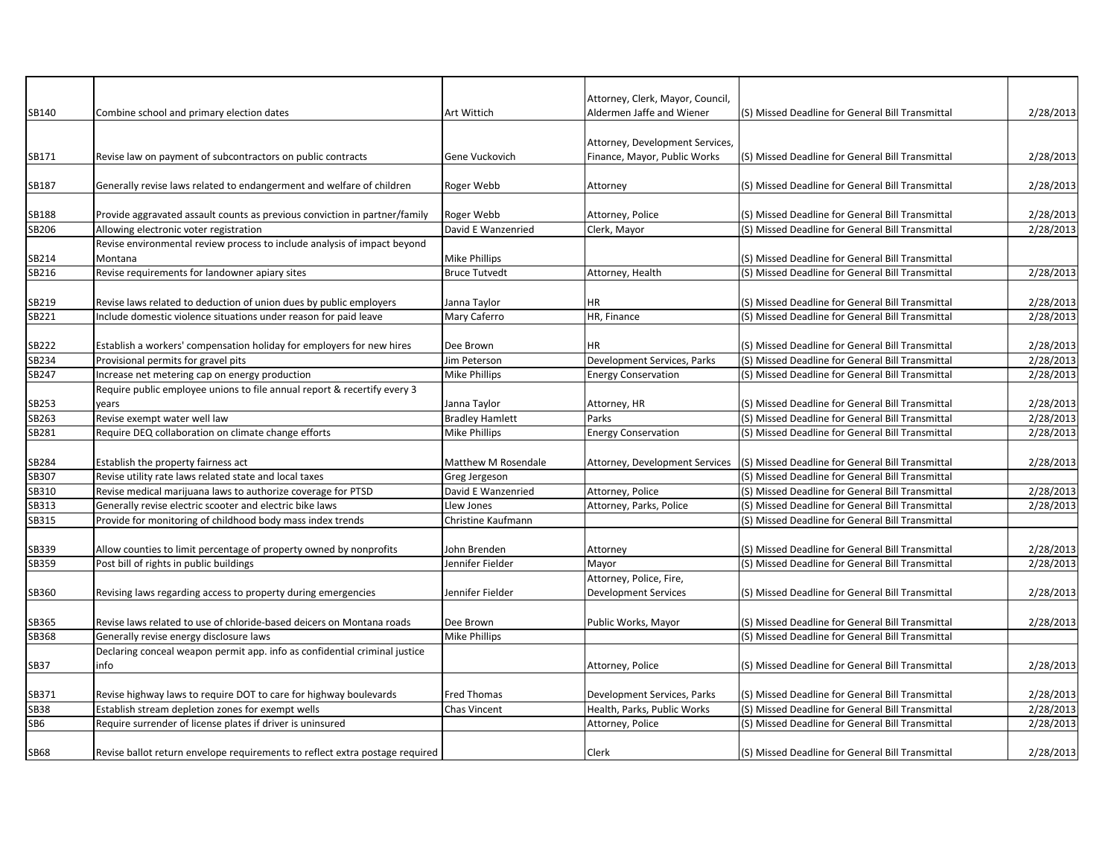|                |                                                                                                                            |                        | Attorney, Clerk, Mayor, Council, |                                                  |                        |
|----------------|----------------------------------------------------------------------------------------------------------------------------|------------------------|----------------------------------|--------------------------------------------------|------------------------|
| SB140          | Combine school and primary election dates                                                                                  | Art Wittich            | Aldermen Jaffe and Wiener        | (S) Missed Deadline for General Bill Transmittal | 2/28/2013              |
|                |                                                                                                                            |                        | Attorney, Development Services,  |                                                  |                        |
| SB171          | Revise law on payment of subcontractors on public contracts                                                                | Gene Vuckovich         | Finance, Mayor, Public Works     | (S) Missed Deadline for General Bill Transmittal | 2/28/2013              |
|                |                                                                                                                            |                        |                                  |                                                  |                        |
| SB187          | Generally revise laws related to endangerment and welfare of children                                                      | Roger Webb             | Attorney                         | (S) Missed Deadline for General Bill Transmittal | 2/28/2013              |
|                |                                                                                                                            |                        |                                  |                                                  |                        |
| SB188          | Provide aggravated assault counts as previous conviction in partner/family                                                 | Roger Webb             | Attorney, Police                 | (S) Missed Deadline for General Bill Transmittal | 2/28/2013              |
| SB206          | Allowing electronic voter registration                                                                                     | David E Wanzenried     | Clerk, Mayor                     | (S) Missed Deadline for General Bill Transmittal | 2/28/2013              |
|                | Revise environmental review process to include analysis of impact beyond                                                   |                        |                                  |                                                  |                        |
| SB214          | Montana                                                                                                                    | Mike Phillips          |                                  | (S) Missed Deadline for General Bill Transmittal |                        |
| SB216          | Revise requirements for landowner apiary sites                                                                             | <b>Bruce Tutvedt</b>   | Attorney, Health                 | (S) Missed Deadline for General Bill Transmittal | 2/28/2013              |
|                |                                                                                                                            |                        |                                  |                                                  |                        |
| SB219          | Revise laws related to deduction of union dues by public employers                                                         | Janna Taylor           | ΗR                               | (S) Missed Deadline for General Bill Transmittal | 2/28/2013              |
| SB221          | Include domestic violence situations under reason for paid leave                                                           | Mary Caferro           | HR, Finance                      | (S) Missed Deadline for General Bill Transmittal | 2/28/2013              |
|                |                                                                                                                            |                        |                                  |                                                  |                        |
| SB222          | Establish a workers' compensation holiday for employers for new hires                                                      | Dee Brown              | ΗR                               | (S) Missed Deadline for General Bill Transmittal | 2/28/2013              |
| SB234<br>SB247 | Provisional permits for gravel pits                                                                                        | Jim Peterson           | Development Services, Parks      | (S) Missed Deadline for General Bill Transmittal | 2/28/2013<br>2/28/2013 |
|                | Increase net metering cap on energy production<br>Require public employee unions to file annual report & recertify every 3 | Mike Phillips          | <b>Energy Conservation</b>       | (S) Missed Deadline for General Bill Transmittal |                        |
| SB253          | vears                                                                                                                      | Janna Taylor           | Attorney, HR                     | (S) Missed Deadline for General Bill Transmittal | 2/28/2013              |
| SB263          | Revise exempt water well law                                                                                               | <b>Bradley Hamlett</b> | Parks                            | (S) Missed Deadline for General Bill Transmittal | 2/28/2013              |
| SB281          | Require DEQ collaboration on climate change efforts                                                                        | Mike Phillips          |                                  | (S) Missed Deadline for General Bill Transmittal | 2/28/2013              |
|                |                                                                                                                            |                        | <b>Energy Conservation</b>       |                                                  |                        |
| SB284          | Establish the property fairness act                                                                                        | Matthew M Rosendale    | Attorney, Development Services   | (S) Missed Deadline for General Bill Transmittal | 2/28/2013              |
| SB307          | Revise utility rate laws related state and local taxes                                                                     | Greg Jergeson          |                                  | (S) Missed Deadline for General Bill Transmittal |                        |
| SB310          | Revise medical marijuana laws to authorize coverage for PTSD                                                               | David E Wanzenried     | Attorney, Police                 | (S) Missed Deadline for General Bill Transmittal | 2/28/2013              |
| SB313          | Generally revise electric scooter and electric bike laws                                                                   | Llew Jones             | Attorney, Parks, Police          | (S) Missed Deadline for General Bill Transmittal | 2/28/2013              |
| SB315          | Provide for monitoring of childhood body mass index trends                                                                 | Christine Kaufmann     |                                  | (S) Missed Deadline for General Bill Transmittal |                        |
|                |                                                                                                                            |                        |                                  |                                                  |                        |
| SB339          | Allow counties to limit percentage of property owned by nonprofits                                                         | John Brenden           | Attorney                         | (S) Missed Deadline for General Bill Transmittal | 2/28/2013              |
| SB359          | Post bill of rights in public buildings                                                                                    | Jennifer Fielder       | Mayor                            | (S) Missed Deadline for General Bill Transmittal | 2/28/2013              |
|                |                                                                                                                            |                        | Attorney, Police, Fire,          |                                                  |                        |
| SB360          | Revising laws regarding access to property during emergencies                                                              | Jennifer Fielder       | <b>Development Services</b>      | (S) Missed Deadline for General Bill Transmittal | 2/28/2013              |
|                |                                                                                                                            |                        |                                  |                                                  |                        |
| SB365          | Revise laws related to use of chloride-based deicers on Montana roads                                                      | Dee Brown              | Public Works, Mayor              | (S) Missed Deadline for General Bill Transmittal | 2/28/2013              |
| SB368          | Generally revise energy disclosure laws                                                                                    | Mike Phillips          |                                  | (S) Missed Deadline for General Bill Transmittal |                        |
|                | Declaring conceal weapon permit app. info as confidential criminal justice                                                 |                        |                                  |                                                  |                        |
| SB37           | info                                                                                                                       |                        | Attorney, Police                 | (S) Missed Deadline for General Bill Transmittal | 2/28/2013              |
|                |                                                                                                                            |                        |                                  |                                                  |                        |
| SB371          | Revise highway laws to require DOT to care for highway boulevards                                                          | Fred Thomas            | Development Services, Parks      | (S) Missed Deadline for General Bill Transmittal | 2/28/2013              |
| <b>SB38</b>    | Establish stream depletion zones for exempt wells                                                                          | Chas Vincent           | Health, Parks, Public Works      | (S) Missed Deadline for General Bill Transmittal | 2/28/2013              |
| SB6            | Require surrender of license plates if driver is uninsured                                                                 |                        | Attorney, Police                 | (S) Missed Deadline for General Bill Transmittal | 2/28/2013              |
|                |                                                                                                                            |                        |                                  |                                                  |                        |
| <b>SB68</b>    | Revise ballot return envelope requirements to reflect extra postage required                                               |                        | Clerk                            | (S) Missed Deadline for General Bill Transmittal | 2/28/2013              |